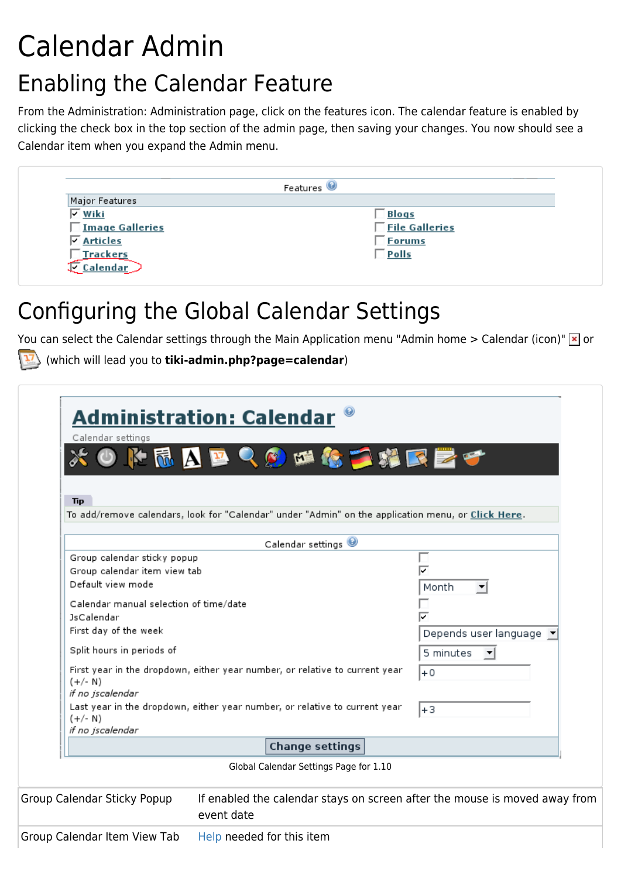# Calendar Admin Enabling the Calendar Feature

From the Administration: Administration page, click on the features icon. The calendar feature is enabled by clicking the check box in the top section of the admin page, then saving your changes. You now should see a Calendar item when you expand the Admin menu.



## Configuring the Global Calendar Settings

You can select the Calendar settings through the Main Application menu "Admin home > Calendar (icon)"  $\times$  or

(which will lead you to **tiki-admin.php?page=calendar**)

| Calendar settings<br>MAP<br><b>Tip</b>                                                                                                                                                                                                              | <b>Administration: Calendar</b><br><b>ROM&amp;THRET</b>                                                                                                   |                                                                |
|-----------------------------------------------------------------------------------------------------------------------------------------------------------------------------------------------------------------------------------------------------|-----------------------------------------------------------------------------------------------------------------------------------------------------------|----------------------------------------------------------------|
|                                                                                                                                                                                                                                                     | To add/remove calendars, look for "Calendar" under "Admin" on the application menu, or Click Here.                                                        |                                                                |
|                                                                                                                                                                                                                                                     | Calendar settings                                                                                                                                         |                                                                |
| Group calendar sticky popup<br>Group calendar item view tab<br>Default view mode<br>Calendar manual selection of time/date<br><b>JsCalendar</b><br>First day of the week<br>Split hours in periods of<br>$(+/- N)$<br>if no jscalendar<br>$(+/- N)$ | First year in the dropdown, either year number, or relative to current year<br>Last year in the dropdown, either year number, or relative to current year | Month<br>Depends user language<br>5 minutes<br>╶<br>$+0$<br>+3 |
| if no jscalendar                                                                                                                                                                                                                                    | <b>Change settings</b>                                                                                                                                    |                                                                |
|                                                                                                                                                                                                                                                     |                                                                                                                                                           |                                                                |
|                                                                                                                                                                                                                                                     | Global Calendar Settings Page for 1.10                                                                                                                    |                                                                |
| Group Calendar Sticky Popup                                                                                                                                                                                                                         | If enabled the calendar stays on screen after the mouse is moved away from<br>event date                                                                  |                                                                |
| Group Calendar Item View Tab                                                                                                                                                                                                                        | Help needed for this item                                                                                                                                 |                                                                |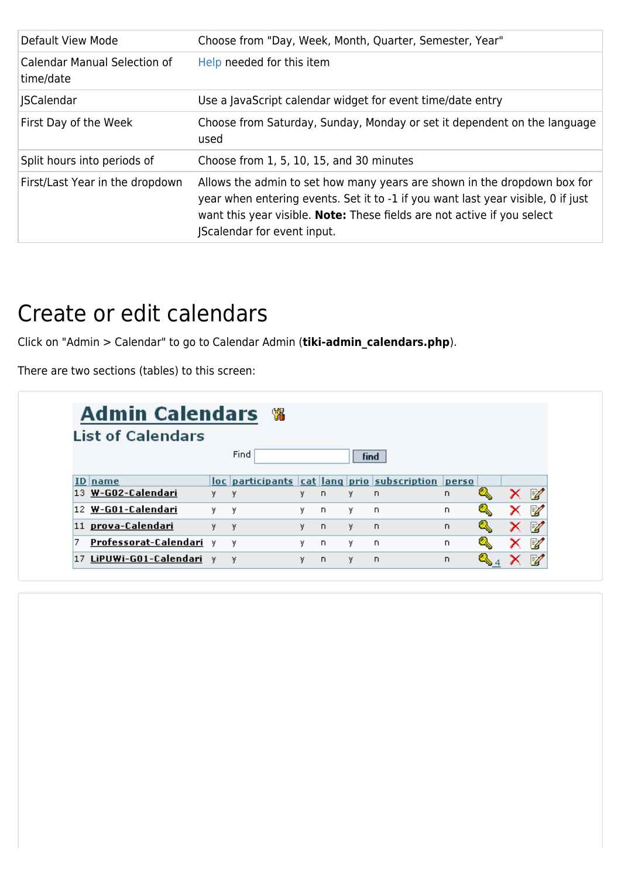| Default View Mode                                | Choose from "Day, Week, Month, Quarter, Semester, Year"                                                                                                                                                                                                               |
|--------------------------------------------------|-----------------------------------------------------------------------------------------------------------------------------------------------------------------------------------------------------------------------------------------------------------------------|
| <b>Calendar Manual Selection of</b><br>time/date | Help needed for this item                                                                                                                                                                                                                                             |
| <b>ISCalendar</b>                                | Use a JavaScript calendar widget for event time/date entry                                                                                                                                                                                                            |
| First Day of the Week                            | Choose from Saturday, Sunday, Monday or set it dependent on the language<br>used                                                                                                                                                                                      |
| Split hours into periods of                      | Choose from 1, 5, 10, 15, and 30 minutes                                                                                                                                                                                                                              |
| First/Last Year in the dropdown                  | Allows the admin to set how many years are shown in the dropdown box for<br>year when entering events. Set it to -1 if you want last year visible, 0 if just<br>want this year visible. Note: These fields are not active if you select<br>Scalendar for event input. |

#### Create or edit calendars

Click on "Admin > Calendar" to go to Calendar Admin (**tiki-admin\_calendars.php**).

There are two sections (tables) to this screen:

| Admin Calendars %<br><b>List of Calendars</b> |    |      |    |          |      |                                                   |    |  |   |
|-----------------------------------------------|----|------|----|----------|------|---------------------------------------------------|----|--|---|
|                                               |    | Find |    |          | find |                                                   |    |  |   |
| ID name                                       |    |      |    |          |      | loc participants cat lang prio subscription perso |    |  |   |
| 13 W-G02-Calendari                            | у. | $-y$ | γ. | D.       | γ.   | <b>n</b>                                          | n. |  | M |
| 12 W-G01-Calendari                            | ٧. | у    | ν. | D.       | γ.   | -n                                                | D. |  | R |
| 11 prova-Calendari                            | ٧. | - y  | ٧  | $\Gamma$ | ٧    | <b>n</b>                                          | n. |  | 瞹 |
| Professorat-Calendari<br>7                    | v  | Y    | ٧  | D.       | ٧    | D.                                                | n. |  | 瞹 |
| 17 LiPUWi-G01-Calendari                       | v  | y    | ٧  | n.       | у    | $\Box$                                            | n. |  | Þ |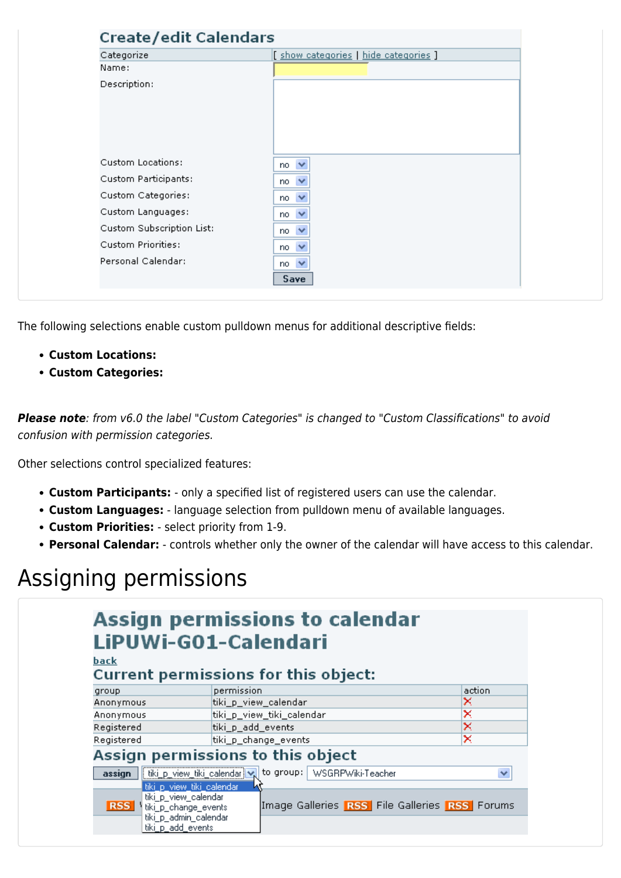| Categorize                | [ show categories   hide categories ] |
|---------------------------|---------------------------------------|
| Name:                     |                                       |
| Description:              |                                       |
|                           |                                       |
|                           |                                       |
|                           |                                       |
|                           |                                       |
| Custom Locations:         | $\checkmark$<br>no.                   |
| Custom Participants:      | $\checkmark$<br>no.                   |
| Custom Categories:        | $\checkmark$<br>no                    |
| Custom Languages:         | $\checkmark$<br>no.                   |
| Custom Subscription List: | $\checkmark$<br>no                    |
| Custom Priorities:        | $\checkmark$<br>no.                   |
| Personal Calendar:        | $\checkmark$<br>no                    |

The following selections enable custom pulldown menus for additional descriptive fields:

- **Custom Locations:**
- **Custom Categories:**

**Please note**: from v6.0 the label "Custom Categories" is changed to "Custom Classifications" to avoid confusion with permission categories.

Other selections control specialized features:

- **Custom Participants:** only a specified list of registered users can use the calendar.
- **Custom Languages:** language selection from pulldown menu of available languages.
- **Custom Priorities:** select priority from 1-9.
- **Personal Calendar:** controls whether only the owner of the calendar will have access to this calendar.

## Assigning permissions

|                                                                                     | Assign permissions to calendar<br>LiPUWi-G01-Calendari       |        |
|-------------------------------------------------------------------------------------|--------------------------------------------------------------|--------|
| <u>back</u>                                                                         | Current permissions for this object:                         |        |
| group                                                                               | permission                                                   | action |
| Anonymous                                                                           | tiki_p_view_calendar                                         | ×      |
| Anonymous                                                                           | tiki_p_view_tiki_calendar                                    | ×      |
| Registered                                                                          | tiki_p_add_events                                            | ×      |
| Registered                                                                          | tiki_p_change_events                                         | ×      |
|                                                                                     | Assign permissions to this object                            |        |
| assign                                                                              | to group:   WSGRPWiki-Teacher<br>tiki p_view_tiki_calendar V | v      |
|                                                                                     | tiki_p_view_tiki_calendar                                    |        |
| tiki_p_view_calendar<br><b>RSS</b><br>tiki p_change_events<br>tiki_p_admin_calendar | Image Galleries RSS File Galleries RSS Forums                |        |
| tiki p_add_events                                                                   |                                                              |        |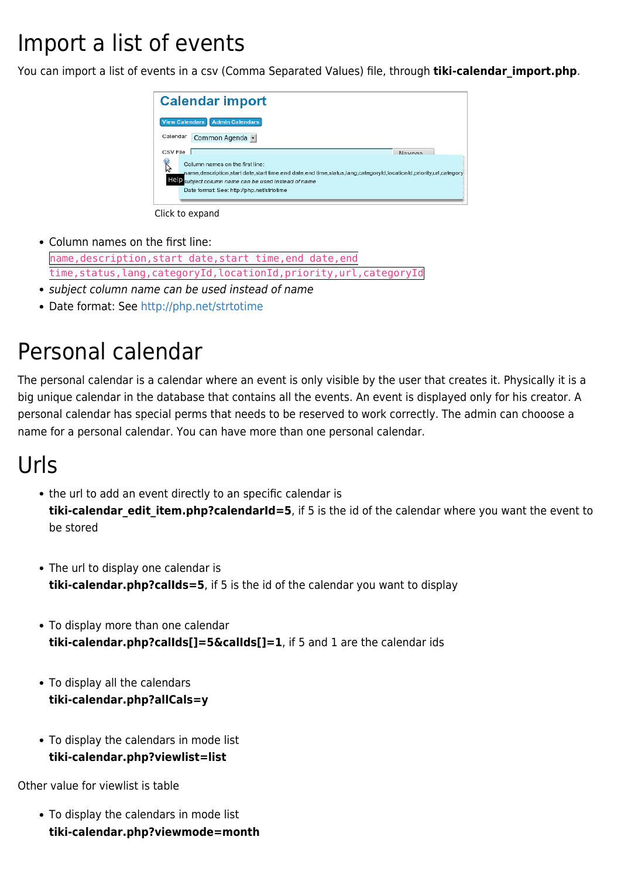## Import a list of events

You can import a list of events in a csv (Comma Separated Values) file, through **tiki-calendar import.php**.



Click to expand

Column names on the first line:

name,description,start date,start time,end date,end time,status,lang,categoryId,locationId,priority,url,categoryId

- subject column name can be used instead of name
- Date format: See<http://php.net/strtotime>

### Personal calendar

The personal calendar is a calendar where an event is only visible by the user that creates it. Physically it is a big unique calendar in the database that contains all the events. An event is displayed only for his creator. A personal calendar has special perms that needs to be reserved to work correctly. The admin can chooose a name for a personal calendar. You can have more than one personal calendar.

### Urls

- the url to add an event directly to an specific calendar is **tiki-calendar edit item.php?calendarId=5**, if 5 is the id of the calendar where you want the event to be stored
- The url to display one calendar is **tiki-calendar.php?calIds=5**, if 5 is the id of the calendar you want to display
- To display more than one calendar **tiki-calendar.php?calIds[]=5&calIds[]=1**, if 5 and 1 are the calendar ids
- To display all the calendars **tiki-calendar.php?allCals=y**
- To display the calendars in mode list **tiki-calendar.php?viewlist=list**

Other value for viewlist is table

To display the calendars in mode list **tiki-calendar.php?viewmode=month**